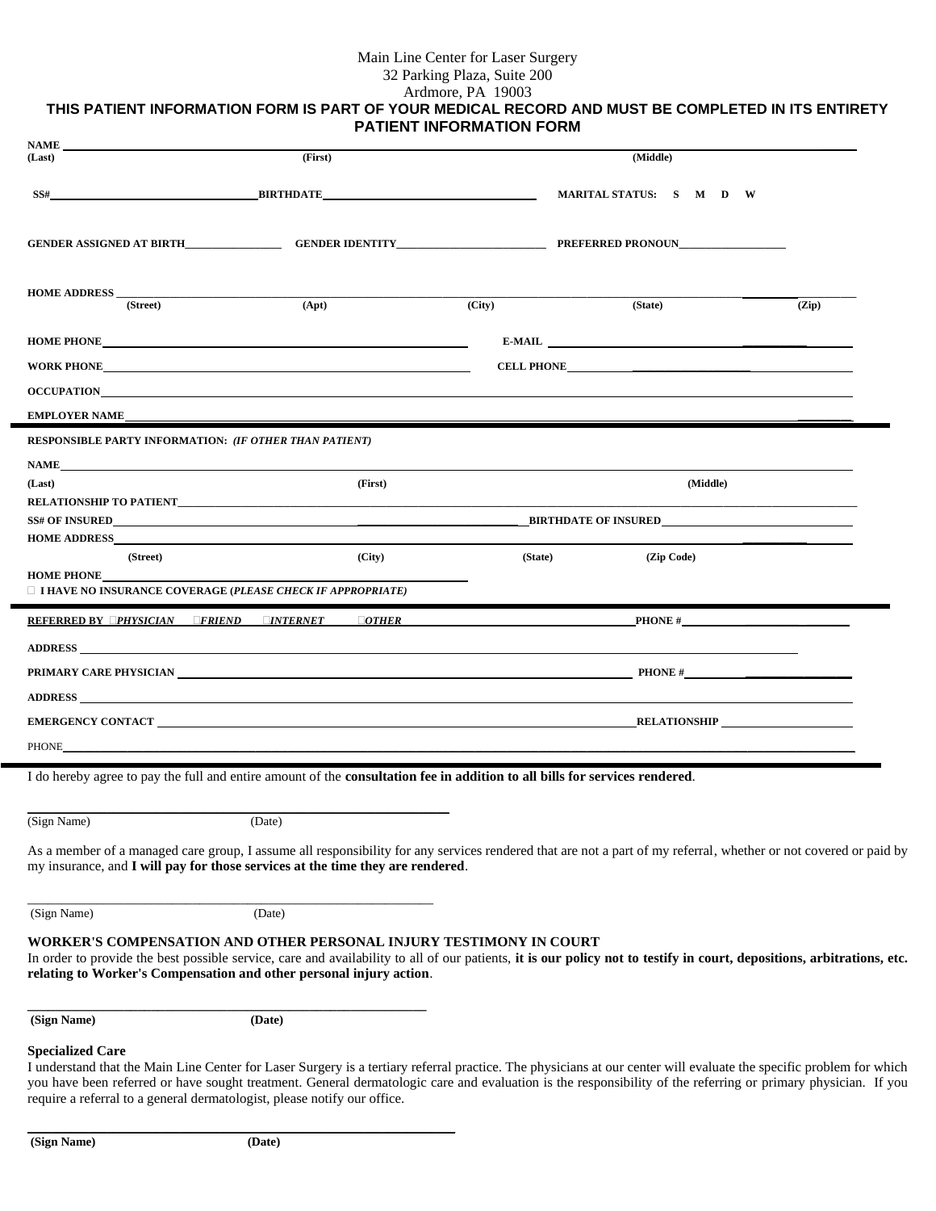# Main Line Center for Laser Surgery

32 Parking Plaza, Suite 200

## Ardmore, PA 19003 **THIS PATIENT INFORMATION FORM IS PART OF YOUR MEDICAL RECORD AND MUST BE COMPLETED IN ITS ENTIRETY PATIENT INFORMATION FORM**

| <b>NAME</b><br>(Last)                                                                                                                                                                                                          | (First)          |         | (Middle)                                                                                                                                                                                                                                                                                                                             |       |
|--------------------------------------------------------------------------------------------------------------------------------------------------------------------------------------------------------------------------------|------------------|---------|--------------------------------------------------------------------------------------------------------------------------------------------------------------------------------------------------------------------------------------------------------------------------------------------------------------------------------------|-------|
|                                                                                                                                                                                                                                |                  |         |                                                                                                                                                                                                                                                                                                                                      |       |
| SS#                                                                                                                                                                                                                            | <b>BIRTHDATE</b> |         | MARITAL STATUS: S M D W                                                                                                                                                                                                                                                                                                              |       |
|                                                                                                                                                                                                                                |                  |         |                                                                                                                                                                                                                                                                                                                                      |       |
| <b>HOME ADDRESS</b><br>(Street)                                                                                                                                                                                                | (Apt)            | (City)  | (State)                                                                                                                                                                                                                                                                                                                              | (Zip) |
|                                                                                                                                                                                                                                |                  |         |                                                                                                                                                                                                                                                                                                                                      |       |
|                                                                                                                                                                                                                                |                  |         | E-MAIL FOR THE STREET OF THE STREET OF THE STREET OF THE STREET OF THE STREET OF THE STREET OF THE STREET OF THE STREET OF THE STREET OF THE STREET OF THE STREET OF THE STREET OF THE STREET OF THE STREET OF THE STREET OF T                                                                                                       |       |
| WORK PHONE <b>FOLLOW</b>                                                                                                                                                                                                       |                  |         | CELL PHONE <b>SECUREMENT AND SECUREMENT OF SECURE AND SECUREMENT OF SECURE AND SECURE AND SECURE AND SECURE AND SECURE AND SECURE AND SECURE AND SECURE AND SECURE AND SECURE AND SECURE AND SECURE AND SECURE AND SECURE AND SE</b>                                                                                                 |       |
| <b>OCCUPATION</b>                                                                                                                                                                                                              |                  |         |                                                                                                                                                                                                                                                                                                                                      |       |
| <b>EMPLOYER NAME</b>                                                                                                                                                                                                           |                  |         |                                                                                                                                                                                                                                                                                                                                      |       |
| RESPONSIBLE PARTY INFORMATION: (IF OTHER THAN PATIENT)                                                                                                                                                                         |                  |         |                                                                                                                                                                                                                                                                                                                                      |       |
| NAME <b>NAME</b>                                                                                                                                                                                                               |                  |         |                                                                                                                                                                                                                                                                                                                                      |       |
| (Last)                                                                                                                                                                                                                         | (First)          |         | (Middle)                                                                                                                                                                                                                                                                                                                             |       |
|                                                                                                                                                                                                                                |                  |         |                                                                                                                                                                                                                                                                                                                                      |       |
| <b>HOME ADDRESS</b>                                                                                                                                                                                                            |                  |         | <b>BIRTHDATE OF INSURED</b>                                                                                                                                                                                                                                                                                                          |       |
| (Street)                                                                                                                                                                                                                       | (City)           | (State) | (Zip Code)                                                                                                                                                                                                                                                                                                                           |       |
| <b>HOME PHONE</b><br>$\Box$ I HAVE NO INSURANCE COVERAGE (PLEASE CHECK IF APPROPRIATE)                                                                                                                                         |                  |         |                                                                                                                                                                                                                                                                                                                                      |       |
| REFERRED BY <b>OPHYSICIAN GERIEND CINTERNET</b> COTHER                                                                                                                                                                         |                  |         | PHONE $#$                                                                                                                                                                                                                                                                                                                            |       |
| ADDRESS AND ANNUAL SERVICE SERVICE SERVICE SERVICE SERVICE SERVICE SERVICE SERVICE SERVICE SERVICE SERVICE SERVICE SERVICE SERVICE SERVICE SERVICE SERVICE SERVICE SERVICE SERVICE SERVICE SERVICE SERVICE SERVICE SERVICE SER |                  |         |                                                                                                                                                                                                                                                                                                                                      |       |
|                                                                                                                                                                                                                                |                  |         | PRIMARY CARE PHYSICIAN PRODUCER AND RELEASED FOR A SERIES OF PRODUCER PRODUCER AND RELEASED FOR A SERIES OF PRODUCER AND RELEASED FOR A SERIES OF PRODUCER AND RELEASED FOR A SERIES OF PRODUCER AND RELEASED FOR A SERIES OF                                                                                                        |       |
|                                                                                                                                                                                                                                |                  |         |                                                                                                                                                                                                                                                                                                                                      |       |
|                                                                                                                                                                                                                                |                  |         | EMERGENCY CONTACT RELATIONSHIP                                                                                                                                                                                                                                                                                                       |       |
| <b>PHONE</b>                                                                                                                                                                                                                   |                  |         |                                                                                                                                                                                                                                                                                                                                      |       |
| I do hereby agree to pay the full and entire amount of the consultation fee in addition to all bills for services rendered.                                                                                                    |                  |         |                                                                                                                                                                                                                                                                                                                                      |       |
| (Sign Name)                                                                                                                                                                                                                    | (Date)           |         |                                                                                                                                                                                                                                                                                                                                      |       |
| my insurance, and I will pay for those services at the time they are rendered.                                                                                                                                                 |                  |         | As a member of a managed care group, I assume all responsibility for any services rendered that are not a part of my referral, whether or not covered or paid by                                                                                                                                                                     |       |
| (Sign Name)                                                                                                                                                                                                                    | (Date)           |         |                                                                                                                                                                                                                                                                                                                                      |       |
| WORKER'S COMPENSATION AND OTHER PERSONAL INJURY TESTIMONY IN COURT<br>relating to Worker's Compensation and other personal injury action.                                                                                      |                  |         | In order to provide the best possible service, care and availability to all of our patients, it is our policy not to testify in court, depositions, arbitrations, etc.                                                                                                                                                               |       |
| (Sign Name)                                                                                                                                                                                                                    | (Date)           |         |                                                                                                                                                                                                                                                                                                                                      |       |
| <b>Specialized Care</b><br>require a referral to a general dermatologist, please notify our office.                                                                                                                            |                  |         | I understand that the Main Line Center for Laser Surgery is a tertiary referral practice. The physicians at our center will evaluate the specific problem for which<br>you have been referred or have sought treatment. General dermatologic care and evaluation is the responsibility of the referring or primary physician. If you |       |

**(Sign Name) (Date)**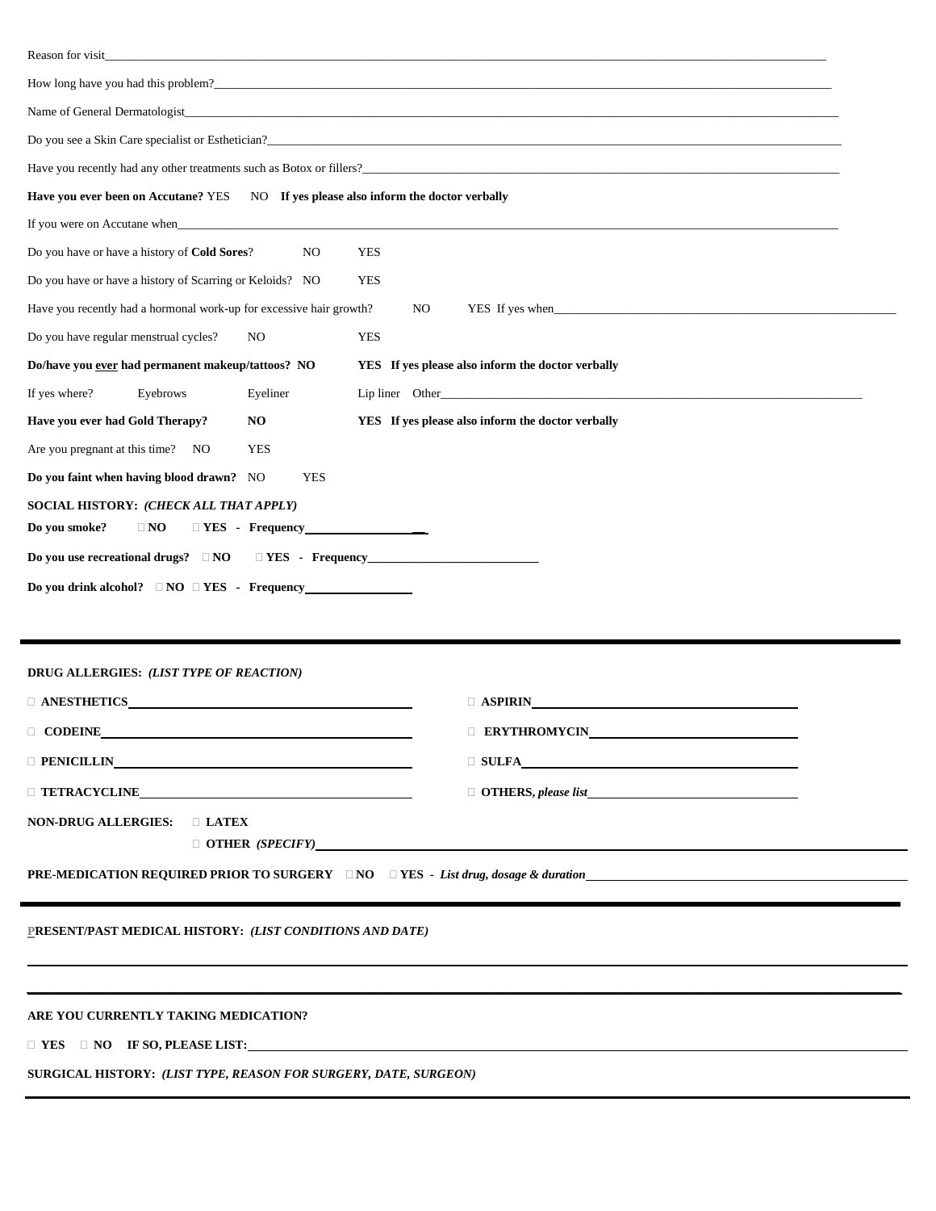| Reason for visit_<br><u> 1989 - Johann Stoff, amerikansk politiker (d. 1989)</u>                                                                                                                                                 |                                                   |
|----------------------------------------------------------------------------------------------------------------------------------------------------------------------------------------------------------------------------------|---------------------------------------------------|
| How long have you had this problem?<br>1990 - Andrea Maria Alexander Alexander Andrea Maria Alexander Alexander Alexander Alexander Alexander Alexander Alexander Alexander Alexander Alexander Alexander Alexander Alexander Al |                                                   |
|                                                                                                                                                                                                                                  | Name of General Dermatologist                     |
|                                                                                                                                                                                                                                  |                                                   |
|                                                                                                                                                                                                                                  |                                                   |
| Have you ever been on Accutane? YES NO If yes please also inform the doctor verbally                                                                                                                                             |                                                   |
|                                                                                                                                                                                                                                  |                                                   |
| Do you have or have a history of Cold Sores?<br><b>YES</b><br>N <sub>O</sub>                                                                                                                                                     |                                                   |
| Do you have or have a history of Scarring or Keloids? NO<br><b>YES</b>                                                                                                                                                           |                                                   |
| Have you recently had a hormonal work-up for excessive hair growth?                                                                                                                                                              | NO.                                               |
| Do you have regular menstrual cycles?<br>NO.<br>YES                                                                                                                                                                              |                                                   |
| Do/have you ever had permanent makeup/tattoos? NO                                                                                                                                                                                | YES If yes please also inform the doctor verbally |
| If yes where?<br>Eyeliner<br>Eyebrows                                                                                                                                                                                            |                                                   |
| Have you ever had Gold Therapy?<br>NO                                                                                                                                                                                            | YES If yes please also inform the doctor verbally |
| Are you pregnant at this time? NO<br><b>YES</b>                                                                                                                                                                                  |                                                   |
| Do you faint when having blood drawn? NO<br><b>YES</b>                                                                                                                                                                           |                                                   |
| SOCIAL HISTORY: (CHECK ALL THAT APPLY)<br>Do you smoke?<br>$\Box$ NO                                                                                                                                                             |                                                   |
| Do you use recreational drugs? □ NO □ YES - Frequency                                                                                                                                                                            |                                                   |
|                                                                                                                                                                                                                                  |                                                   |
|                                                                                                                                                                                                                                  |                                                   |
|                                                                                                                                                                                                                                  |                                                   |
| DRUG ALLERGIES: (LIST TYPE OF REACTION)                                                                                                                                                                                          |                                                   |
| $\Box$ ANESTHETICS                                                                                                                                                                                                               | $\Box$ ASPIRIN                                    |
| CODEINE                                                                                                                                                                                                                          | <b>ERYTHROMYCIN_</b>                              |
|                                                                                                                                                                                                                                  |                                                   |
| $\Box$ TETRACYCLINE                                                                                                                                                                                                              |                                                   |
| NON-DRUG ALLERGIES: D LATEX                                                                                                                                                                                                      |                                                   |
|                                                                                                                                                                                                                                  | $\Box$ OTHER (SPECIFY)                            |
|                                                                                                                                                                                                                                  |                                                   |
|                                                                                                                                                                                                                                  |                                                   |
| PRESENT/PAST MEDICAL HISTORY: (LIST CONDITIONS AND DATE)                                                                                                                                                                         |                                                   |
|                                                                                                                                                                                                                                  |                                                   |
|                                                                                                                                                                                                                                  |                                                   |
| ARE YOU CURRENTLY TAKING MEDICATION?                                                                                                                                                                                             |                                                   |
| $\Box$ YES $\Box$ NO IF SO, PLEASE LIST:                                                                                                                                                                                         |                                                   |
| SURGICAL HISTORY: (LIST TYPE, REASON FOR SURGERY, DATE, SURGEON)                                                                                                                                                                 |                                                   |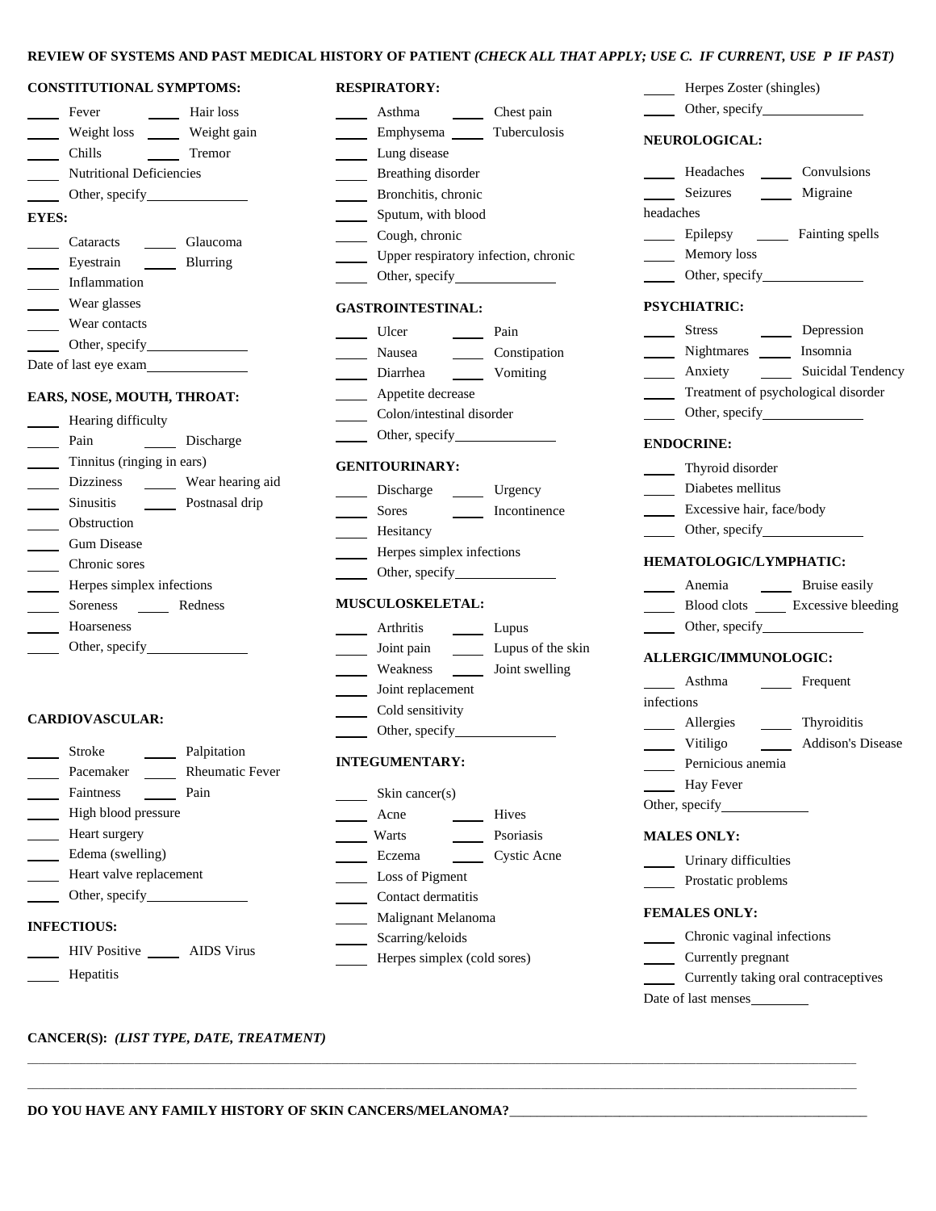## **REVIEW OF SYSTEMS AND PAST MEDICAL HISTORY OF PATIENT** *(CHECK ALL THAT APPLY; USE C. IF CURRENT, USE P IF PAST)*

#### **CONSTITUTIONAL SYMPTOMS:**

|       | Fever                           | Hair loss   |
|-------|---------------------------------|-------------|
|       | Weight loss                     | Weight gain |
|       | Chills                          | Tremor      |
|       | <b>Nutritional Deficiencies</b> |             |
|       | Other, specify                  |             |
| EYES: |                                 |             |
|       | Cataracts                       | Glaucoma    |
|       | Evestrain                       | Blurring    |
|       | Inflammation                    |             |
|       | Wear glasses                    |             |
|       | Wear contacts                   |             |
|       | Other, specify                  |             |
|       | Date of last eye exam           |             |
|       |                                 |             |

## **EARS, NOSE, MOUTH, THROAT:**

| Hearing difficulty         |                  |
|----------------------------|------------------|
| Pain                       | Discharge        |
| Tinnitus (ringing in ears) |                  |
| <b>Dizziness</b>           | Wear hearing aid |
| <b>Sinusitis</b>           | Postnasal drip   |
| Obstruction                |                  |
| <b>Gum Disease</b>         |                  |
| Chronic sores              |                  |
| Herpes simplex infections  |                  |
| Soreness                   | Redness          |
| <b>Hoarseness</b>          |                  |
| Other, specify             |                  |
|                            |                  |

## **CARDIOVASCULAR:**

| Palpitation<br>Stroke<br><b>INTEGUMENTARY:</b><br><b>Rheumatic Fever</b><br>Pacemaker<br>Pain<br><b>Faintness</b><br>Skin cancer $(s)$<br>High blood pressure<br>Acne<br>Heart surgery<br>Warts<br>Edema (swelling)<br>Eczema<br>Heart valve replacement<br>Loss of Pigment<br>Other, specify<br>Contact dermatitis |                                                 |  |
|---------------------------------------------------------------------------------------------------------------------------------------------------------------------------------------------------------------------------------------------------------------------------------------------------------------------|-------------------------------------------------|--|
|                                                                                                                                                                                                                                                                                                                     |                                                 |  |
|                                                                                                                                                                                                                                                                                                                     |                                                 |  |
|                                                                                                                                                                                                                                                                                                                     | <b>Hives</b>                                    |  |
|                                                                                                                                                                                                                                                                                                                     | Psorias                                         |  |
|                                                                                                                                                                                                                                                                                                                     | Cystic                                          |  |
|                                                                                                                                                                                                                                                                                                                     |                                                 |  |
|                                                                                                                                                                                                                                                                                                                     |                                                 |  |
| Malignant Melanoma<br><b>INFECTIOUS:</b>                                                                                                                                                                                                                                                                            | Scarring/keloids<br>Herpes simplex (cold sores) |  |
| <b>HIV</b> Positive<br>AIDS Virus                                                                                                                                                                                                                                                                                   |                                                 |  |
| Hepatitis                                                                                                                                                                                                                                                                                                           |                                                 |  |

# **RESPIRATORY:** Asthma Chest pain

| $\mathbb{R}^2$              | Emphysema _______ Tuberculosis         |                   |
|-----------------------------|----------------------------------------|-------------------|
|                             | Lung disease                           |                   |
| $\overline{\phantom{a}}$    | Breathing disorder                     |                   |
|                             | Bronchitis, chronic                    |                   |
| $\mathbb{R}^n$              | Sputum, with blood                     |                   |
|                             | Cough, chronic                         |                   |
| $\sim$ 10 $\pm$             | Upper respiratory infection, chronic   |                   |
| $\sim 100$                  | Other, specify <b>Exercise</b>         |                   |
|                             | <b>GASTROINTESTINAL:</b>               |                   |
| $\overline{\phantom{a}}$    | Ulcer<br>Pain                          |                   |
| $\mathcal{L}_{\mathcal{A}}$ | Nausea                                 | Constipation      |
| $\overline{\phantom{a}}$    | Diarrhea<br>$\sim$                     | Vomiting          |
|                             | Appetite decrease                      |                   |
|                             | Colon/intestinal disorder              |                   |
|                             |                                        |                   |
|                             | <b>GENITOURINARY:</b>                  |                   |
|                             |                                        |                   |
| $\overline{\phantom{a}}$    | Discharge ________ Urgency             |                   |
|                             | <b>Sores</b>                           | Incontinence      |
| $\mathcal{L}(\mathcal{L})$  | Hesitancy                              |                   |
| $\overline{\phantom{a}}$    | Herpes simplex infections              |                   |
| $\overline{\phantom{a}}$    |                                        |                   |
|                             | <b>MUSCULOSKELETAL:</b>                |                   |
|                             | Arthritis                              | Lupus             |
| $\overline{\phantom{a}}$    | Joint pain<br>$\overline{\phantom{0}}$ | Lupus of the skin |
| $\mathbb{R}^n$              | Weakness _______ Joint swelling        |                   |
| $\overline{\phantom{a}}$    | Joint replacement                      |                   |
|                             | Cold sensitivity                       |                   |
|                             |                                        |                   |
|                             | <b>INTEGUMENTARY:</b>                  |                   |
|                             | Skin cancer(s)                         |                   |
|                             | Acne                                   | Hives             |
|                             | Warts                                  | Psoriasis         |
|                             | Eczema                                 | Cystic Acne       |
|                             | Loss of Pigment                        |                   |
|                             | Contact dermatitis                     |                   |
|                             | Malignant Melanoma                     |                   |
|                             | Scarring/keloids                       |                   |
|                             |                                        |                   |

\_\_\_\_\_\_\_\_\_\_\_\_\_\_\_\_\_\_\_\_\_\_\_\_\_\_\_\_\_\_\_\_\_\_\_\_\_\_\_\_\_\_\_\_\_\_\_\_\_\_\_\_\_\_\_\_\_\_\_\_\_\_\_\_\_\_\_\_\_\_\_\_\_\_\_\_\_\_\_\_\_\_\_\_\_\_\_\_\_\_\_\_\_\_\_\_\_\_\_\_\_\_\_\_\_\_\_\_\_\_\_\_\_\_\_\_\_\_\_\_\_\_\_\_\_\_\_\_\_\_\_\_\_\_\_\_\_\_\_\_\_\_\_\_\_\_\_\_\_\_\_\_\_\_\_

\_\_\_\_\_\_\_\_\_\_\_\_\_\_\_\_\_\_\_\_\_\_\_\_\_\_\_\_\_\_\_\_\_\_\_\_\_\_\_\_\_\_\_\_\_\_\_\_\_\_\_\_\_\_\_\_\_\_\_\_\_\_\_\_\_\_\_\_\_\_\_\_\_\_\_\_\_\_\_\_\_\_\_\_\_\_\_\_\_\_\_\_\_\_\_\_\_\_\_\_\_\_\_\_\_\_\_\_\_\_\_\_\_\_\_\_\_\_\_\_\_\_\_\_\_\_\_\_\_\_\_\_\_\_\_\_\_\_\_\_\_\_\_\_\_\_\_\_\_\_\_\_\_\_\_

**NEUROLOGICAL:** Headaches \_\_\_\_\_\_\_ Convulsions **Seizures Migraine** headaches **Epilepsy Fainting spells** Memory loss **C** Other, specify **PSYCHIATRIC:** Stress Depression Nightmares **Insomnia Anxiety 1988 1988 1999 1999 1999 1999 1999 1999 1999 1999 1999 1999 1999 1999 1999 1999 1999 1999 1999 1999 1999 1999 1999 1999 1999 1999 1999 1999 1999 1999 1 Treatment of psychological disorder C** Other, specify **ENDOCRINE:** *I*Thyroid disorder *Meridian* Diabetes mellitus **Excessive hair, face/body C** Other, specify **HEMATOLOGIC/LYMPHATIC: Anemia Letter** Bruise easily **Excessive bleeding** Blood clots **Leaper** Excessive bleeding **C** Other, specify **ALLERGIC/IMMUNOLOGIC: 1988 Asthma Legisland Frequent** infections **Allergies** Thyroiditis **1983** Vitiligo **1984** Addison's Disease **Pernicious anemia Hay Fever** Other, specify **MALES ONLY:** Urinary difficulties **Prostatic problems FEMALES ONLY:** *Chronic vaginal infections* **Currently pregnant** *Currently taking oral contraceptives* 

Date of last menses

**Herpes Zoster (shingles)** *City* Other, specify

**CANCER(S):** *(LIST TYPE, DATE, TREATMENT)*

**DO YOU HAVE ANY FAMILY HISTORY OF SKIN CANCERS/MELANOMA?**\_\_\_\_\_\_\_\_\_\_\_\_\_\_\_\_\_\_\_\_\_\_\_\_\_\_\_\_\_\_\_\_\_\_\_\_\_\_\_\_\_\_\_\_\_\_\_\_\_\_\_\_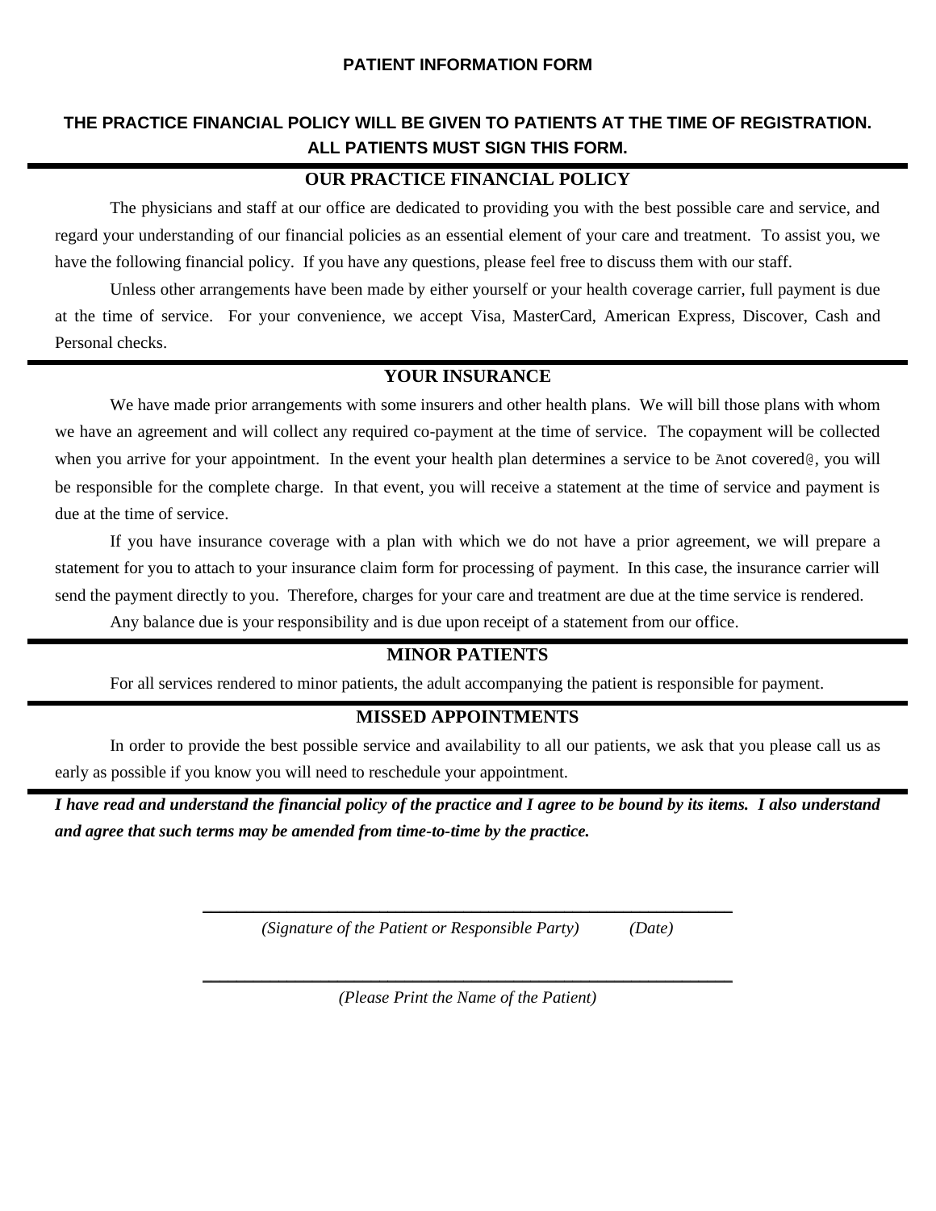## **PATIENT INFORMATION FORM**

# **THE PRACTICE FINANCIAL POLICY WILL BE GIVEN TO PATIENTS AT THE TIME OF REGISTRATION. ALL PATIENTS MUST SIGN THIS FORM.**

# **OUR PRACTICE FINANCIAL POLICY**

The physicians and staff at our office are dedicated to providing you with the best possible care and service, and regard your understanding of our financial policies as an essential element of your care and treatment. To assist you, we have the following financial policy. If you have any questions, please feel free to discuss them with our staff.

Unless other arrangements have been made by either yourself or your health coverage carrier, full payment is due at the time of service. For your convenience, we accept Visa, MasterCard, American Express, Discover, Cash and Personal checks.

# **YOUR INSURANCE**

We have made prior arrangements with some insurers and other health plans. We will bill those plans with whom we have an agreement and will collect any required co-payment at the time of service. The copayment will be collected when you arrive for your appointment. In the event your health plan determines a service to be Anot covered@, you will be responsible for the complete charge. In that event, you will receive a statement at the time of service and payment is due at the time of service.

If you have insurance coverage with a plan with which we do not have a prior agreement, we will prepare a statement for you to attach to your insurance claim form for processing of payment. In this case, the insurance carrier will send the payment directly to you. Therefore, charges for your care and treatment are due at the time service is rendered.

Any balance due is your responsibility and is due upon receipt of a statement from our office.

# **MINOR PATIENTS**

For all services rendered to minor patients, the adult accompanying the patient is responsible for payment.

## **MISSED APPOINTMENTS**

In order to provide the best possible service and availability to all our patients, we ask that you please call us as early as possible if you know you will need to reschedule your appointment.

*I have read and understand the financial policy of the practice and I agree to be bound by its items. I also understand and agree that such terms may be amended from time-to-time by the practice.* 

\_\_\_\_\_\_\_\_\_\_\_\_\_\_\_\_\_\_\_\_\_\_\_\_\_\_\_\_\_\_\_\_\_\_\_\_\_\_\_\_\_\_\_\_\_\_\_\_\_\_\_\_\_\_\_\_\_\_\_\_\_\_\_

*(Signature of the Patient or Responsible Party) (Date)*

\_\_\_\_\_\_\_\_\_\_\_\_\_\_\_\_\_\_\_\_\_\_\_\_\_\_\_\_\_\_\_\_\_\_\_\_\_\_\_\_\_\_\_\_\_\_\_\_\_\_\_\_\_\_\_\_\_\_\_\_\_\_\_ *(Please Print the Name of the Patient)*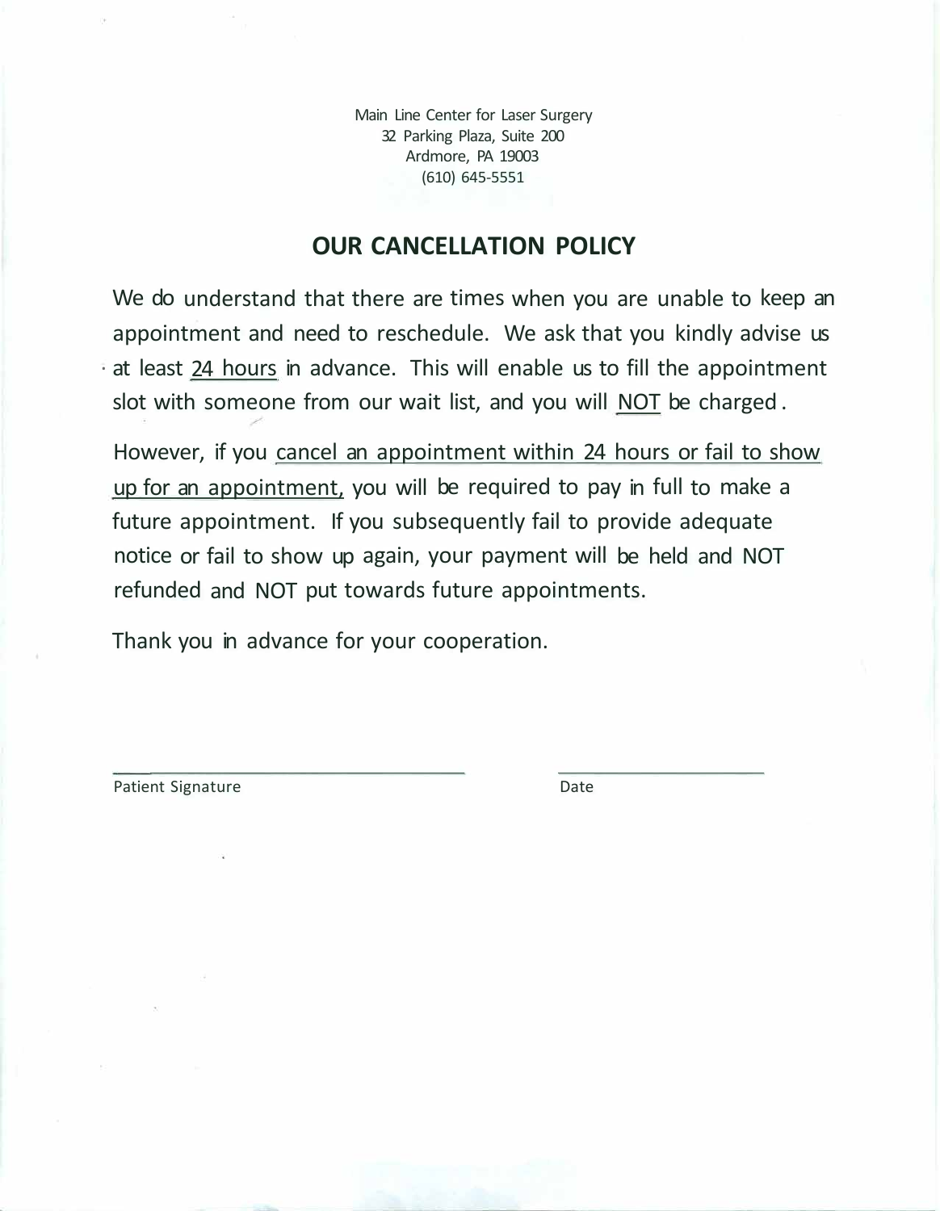Main Line Center for Laser Surgery 32 Parking Plaza, Suite 200 Ardmore, PA 19003 (610) 645-5551

# **OUR CANCELLATION POLICY**

We do understand that there are times when you are unable to keep an appointment and need to reschedule. We ask that you kindly advise us · at least 24 hours in advance. This will enable us to fill the appointment slot with someone from our wait list, and you will NOT be charged .

However, if you cancel an appointment within 24 hours or fail to show up for an appointment, you will be required to pay in full to make a future appointment. If you subsequently fail to provide adequate notice or fail to show up again, your payment will be held and NOT refunded and NOT put towards future appointments.

Thank you in advance for your cooperation.

Patient Signature Date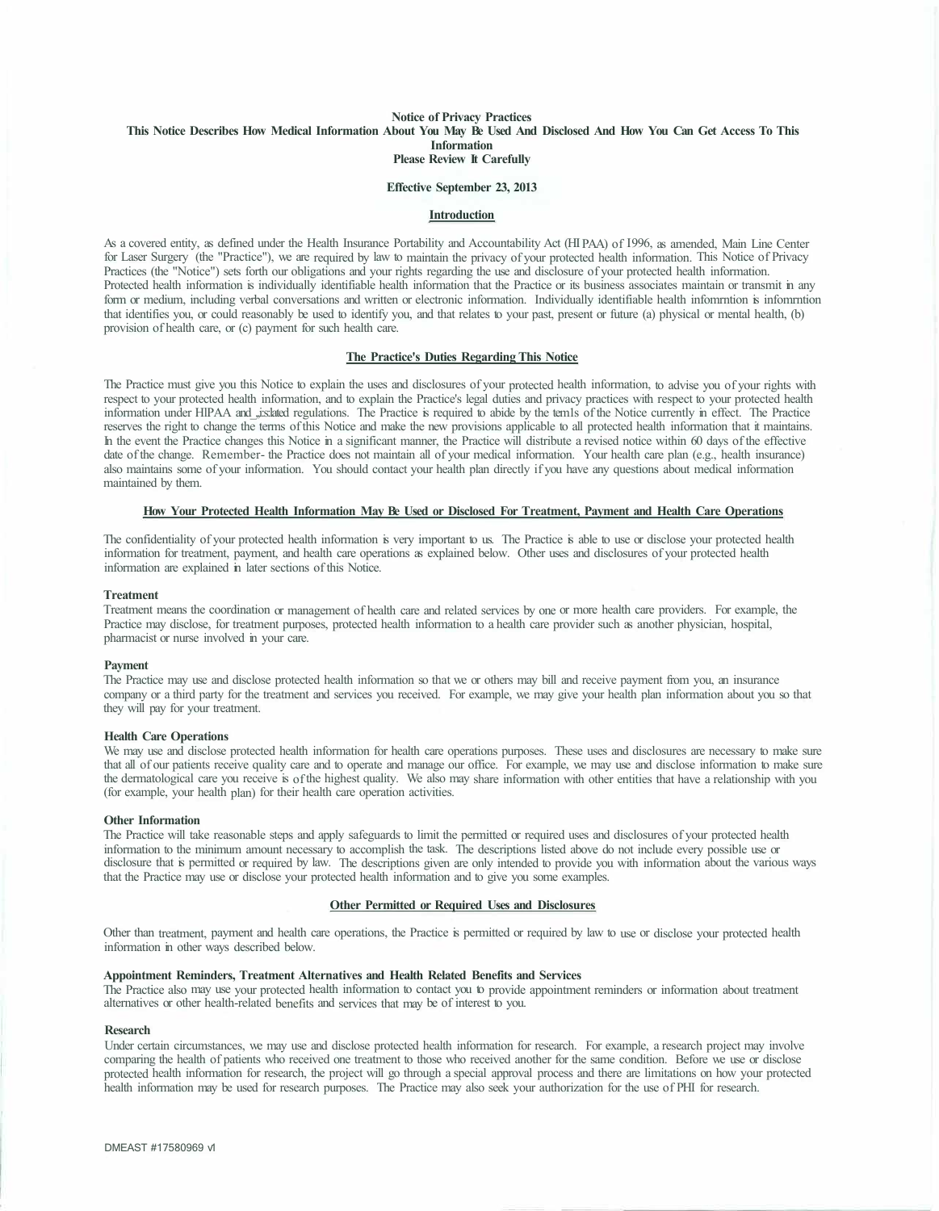## **Notice of Privacy Practices This Notice Describes How Medical Information About You May Be Used And Disclosed And How You Can Get Access To This Information Please Review It Carefully**

## **Effective September 23, 2013**

#### **Introduction**

As a covered entity, as defined under the Health Insurance Portability and Accountability Act (HI PAA) of I 996, as amended, Main Line Center for Laser Surgery (the "Practice"), we are required by law to maintain the privacy of your protected health information. This Notice of Privacy Practices (the "Notice") sets forth our obligations and your rights regarding the use and disclosure of your protected health information. Protected health information is individually identifiable health information that the Practice or its business associates maintain or transmit in any form or medium, including verbal conversations and written or electronic information. Individually identifiable health infomrntion is infomrntion that identifies you, or could reasonably be used to identify you, and that relates to your past, present or future (a) physical or mental health, (b) provision of health care, or (c) payment for such health care.

## **The Practice's Duties Regarding This Notice**

The Practice must give you this Notice to explain the uses and disclosures of your protected health information, to advise you of your rights with respect to your protected health information, and to explain the Practice's legal duties and privacy practices with respect to your protected health information under HlPAA and\_,,i:s:lated regulations. The Practice is required to abide by the tem1s of the Notice currently in effect. The Practice reserves the right to change the terms of this Notice and make the new provisions applicable to all protected health information that it maintains. In the event the Practice changes this Notice in a significant manner, the Practice will distribute a revised notice within 60 days of the effective date of the change. Remember- the Practice does not maintain all of your medical information. Your health care plan (e.g., health insurance) also maintains some of your information. You should contact your health plan directly if you have any questions about medical information maintained by them.

#### **How Your Protected Health Information May Be Used or Disclosed For Treatment, Payment and Health Care Operations**

The confidentiality of your protected health information is very important to us. The Practice is able to use or disclose your protected health information for treatment, payment, and health care operations as explained below. Other uses and disclosures of your protected health information are explained in later sections of this Notice.

#### **Treatment**

Treatment means the coordination or management of health care and related services by one or more health care providers. For example, the Practice may disclose, for treatment purposes, protected health information to a health care provider such as another physician, hospital, pharmacist or nurse involved in your care.

#### **Payment**

The Practice may use and disclose protected health information so that we or others may bill and receive payment from you, an insurance company or a third party for the treatment and services you received. For example, we may give your health plan information about you so that they will pay for your treatment.

#### **Health Care Operations**

We may use and disclose protected health information for health care operations purposes. These uses and disclosures are necessary to make sure that all of our patients receive quality care and to operate and manage our office. For example, we may use and disclose information to make sure the dermatological care you receive is of the highest quality. We also may share information with other entities that have a relationship with you (for example, your health plan) for their health care operation activities.

#### **Other Information**

The Practice will take reasonable steps and apply safeguards to limit the permitted or required uses and disclosures of your protected health information to the minimum amount necessary to accomplish the task. The descriptions listed above do not include every possible use or disclosure that is permitted or required by law. The descriptions given are only intended to provide you with information about the various ways that the Practice may use or disclose your protected health information and to give you some examples.

## **Other Permitted or Required Uses and Disclosures**

Other than treatment, payment and health care operations, the Practice is permitted or required by law to use or disclose your protected health information in other ways described below.

#### **Appointment Reminders, Treatment Alternatives and Health Related Benefits and Services**

The Practice also may use your protected health information to contact you to provide appointment reminders or information about treatment alternatives or other health-related benefits and services that may be of interest to you.

#### **Research**

Under certain circumstances, we may use and disclose protected health information for research. For example, a research project may involve comparing the health of patients who received one treatment to those who received another for the same condition. Before we use or disclose protected health information for research, the project will go through a special approval process and there are limitations on how your protected health information may be used for research purposes. The Practice may also seek your authorization for the use of PHI for research.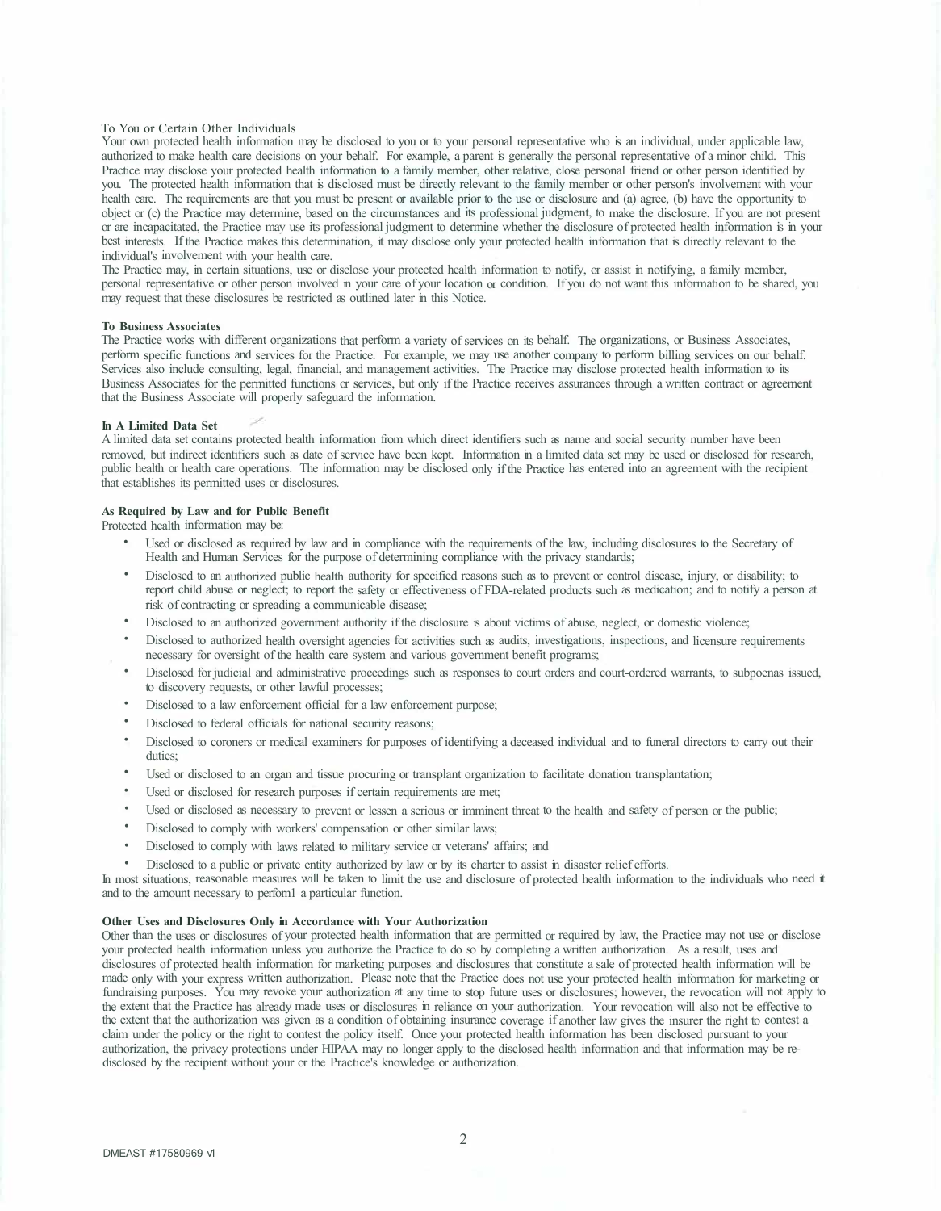#### To You or Certain Other Individuals

Your own protected health information may be disclosed to you or to your personal representative who is an individual, under applicable law, authorized to make health care decisions on your behalf. For example, a parent is generally the personal representative of a minor child. This Practice may disclose your protected health information to a family member, other relative, close personal friend or other person identified by you. The protected health information that is disclosed must be directly relevant to the family member or other person's involvement with your health care. The requirements are that you must be present or available prior to the use or disclosure and (a) agree, (b) have the opportunity to object or ( c) the Practice may determine, based on the circumstances and its professional judgment, to make the disclosure. If you are not present or are incapacitated, the Practice may use its professional judgment to determine whether the disclosure of protected health information is in your best interests. If the Practice makes this determination, it may disclose only your protected health information that is directly relevant to the individual's involvement with your health care.

The Practice may, in certain situations, use or disclose your protected health information to notify, or assist in notifying, a family member, personal representative or other person involved in your care of your location or condition. If you do not want this information to be shared, you may request that these disclosures be restricted as outlined later in this Notice.

#### **To Business Associates**

The Practice works with different organizations that perform a variety of services on its behalf. The organizations, or Business Associates, perform specific functions and services for the Practice. For example, we may use another company to perform billing services on our behalf. Services also include consulting, legal, financial, and management activities. The Practice may disclose protected health information to its Business Associates for the permitted functions or services, but only if the Practice receives assurances through a written contract or agreement that the Business Associate will properly safeguard the information.

#### **In A Limited Data Set**

A limited data set contains protected health information from which direct identifiers such as name and social security number have been removed, but indirect identifiers such as date of service have been kept. Information in a limited data set may be used or disclosed for research, public health or health care operations. The information may be disclosed only if the Practice has entered into an agreement with the recipient that establishes its permitted uses or disclosures.

### **As Required by Law and for Public Benefit**

Protected health information may be:

- Used or disclosed as required by law and in compliance with the requirements of the law, including disclosures to the Secretary of Health and Human Services for the purpose of determining compliance with the privacy standards;
- Disclosed to an authorized public health authority for specified reasons such as to prevent or control disease, injury, or disability; to report child abuse or neglect; to report the safety or effectiveness of FDA-related products such as medication; and to notify a person at risk of contracting or spreading a communicable disease;
- Disclosed to an authorized government authority if the disclosure is about victims of abuse, neglect, or domestic violence;
- Disclosed to authorized health oversight agencies for activities such as audits, investigations, inspections, and licensure requirements necessary for oversight of the health care system and various government benefit programs;
- Disclosed for judicial and administrative proceedings such as responses to court orders and court-ordered warrants, to subpoenas issued, to discovery requests, or other lawful processes;
- Disclosed to a law enforcement official for a law enforcement purpose;
- Disclosed to federal officials for national security reasons;
- Disclosed to coroners or medical examiners for purposes of identifying a deceased individual and to funeral directors to carry out their duties;
- Used or disclosed to an organ and tissue procuring or transplant organization to facilitate donation transplantation;
- Used or disclosed for research purposes if certain requirements are met;
- Used or disclosed as necessary to prevent or lessen a serious or imminent threat to the health and safety of person or the public;
- Disclosed to comply with workers' compensation or other similar laws;
- Disclosed to comply with laws related to military service or veterans' affairs; and
- Disclosed to a public or private entity authorized by law or by its charter to assist in disaster relief efforts.

In most situations, reasonable measures will be taken to limit the use and disclosure of protected health information to the individuals who need it and to the amount necessary to perforn1 a particular function.

## **Other Uses and Disclosures Only in Accordance with Your Authorization**

Other than the uses or disclosures of your protected health information that are permitted or required by law, the Practice may not use or disclose your protected health information unless you authorize the Practice to do so by completing a written authorization. As a result, uses and disclosures of protected health information for marketing purposes and disclosures that constitute a sale of protected health information will be made only with your express written authorization. Please note that the Practice does not use your protected health information for marketing or fundraising purposes. You may revoke your authorization at any time to stop future uses or disclosures; however, the revocation will not apply to the extent that the Practice has already made uses or disclosures in reliance on your authorization. Your revocation will also not be effective to the extent that the authorization was given as a condition of obtaining insurance coverage if another law gives the insurer the right to contest a claim under the policy or the right to contest the policy itself. Once your protected health information has been disclosed pursuant to your authorization, the privacy protections under HIPAA may no longer apply to the disclosed health information and that information may be redisclosed by the recipient without your or the Practice's knowledge or authorization.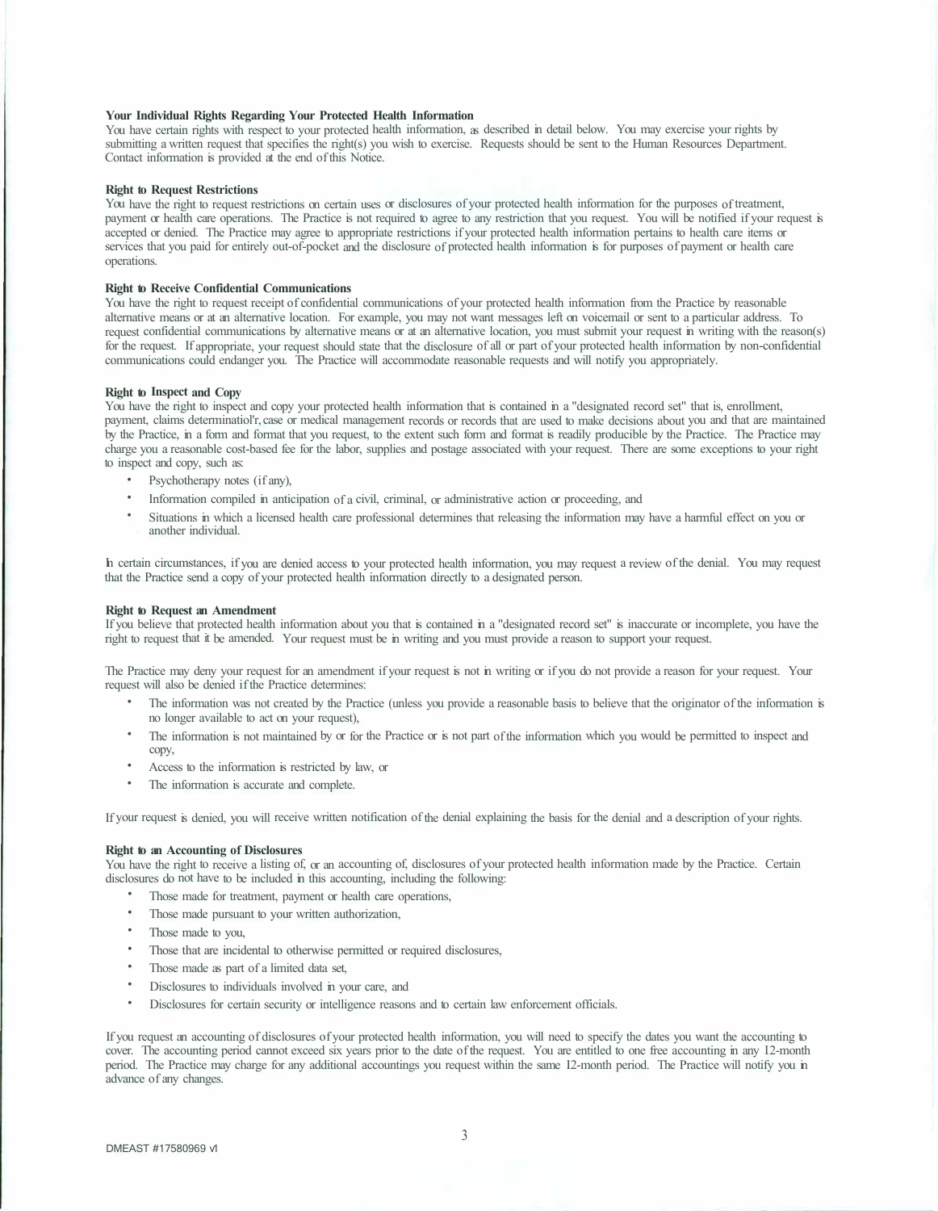#### **Your Individual Rights Regarding Your Protected Health Information**

You have certain rights with respect to your protected health information, as described in detail below. You may exercise your rights by submitting a written request that specifies the right(s) you wish to exercise. Requests should be sent to the Human Resources Department. Contact information is provided at the end of this Notice.

#### **Right to Request Restrictions**

You have the right to request restrictions on certain uses or disclosures of your protected health information for the purposes of treatment, payment or health care operations. The Practice is not required to agree to any restriction that you request. You will be notified if your request is accepted or denied. The Practice may agree to appropriate restrictions if your protected health information pertains to health care items or services that you paid for entirely out-of-pocket and the disclosure of protected health information is for purposes of payment or health care operations.

#### **Right to Receive Confidential Communications**

You have the right to request receipt of confidential communications of your protected health information from the Practice by reasonable alternative means or at an alternative location. For example, you may not want messages left on voicemail or sent to a particular address. To request confidential communications by alternative means or at an alternative location, you must submit your request in writing with the reason(s) for the request. If appropriate, your request should state that the disclosure of all or part of your protected health information by non-confidential communications could endanger you. The Practice will accommodate reasonable requests and will notify you appropriately.

### **Right to Inspect and Copy**

You have the right to inspect and copy your protected health information that is contained in a "designated record set" that is, enrollment, payment, claims determinatiol'r, case or medical management records or records that are used to make decisions about you and that are maintained by the Practice, in a form and format that you request, to the extent such form and format is readily producible by the Practice. The Practice may charge you a reasonable cost-based fee for the labor, supplies and postage associated with your request. There are some exceptions to your right to inspect and copy, such as:

- Psychotherapy notes (if any),
- Information compiled in anticipation of a civil, criminal, or administrative action or proceeding, and
- Situations in which a licensed health care professional determines that releasing the information may have a harmful effect on you or another individual.

In certain circumstances, if you are denied access to your protected health information, you may request a review of the denial. You may request that the Practice send a copy of your protected health information directly to a designated person.

#### **Right to Request an Amendment**

If you believe that protected health information about you that is contained in a "designated record set" is inaccurate or incomplete, you have the right to request that it be amended. Your request must be in writing and you must provide a reason to support your request.

The Practice may deny your request for an amendment if your request is not in writing or if you do not provide a reason for your request. Your request will also be denied if the Practice determines:

- The information was not created by the Practice (unless you provide a reasonable basis to believe that the originator of the information is no longer available to act on your request),
- The information is not maintained by or for the Practice or is not part of the information which you would be permitted to inspect and copy,
- Access to the information is restricted by law, or
- The information is accurate and complete.

If your request is denied, you will receive written notification of the denial explaining the basis for the denial and a description of your rights.

#### **Right to an Accounting of Disclosures**

You have the right to receive a listing of, or an accounting of, disclosures of your protected health information made by the Practice. Certain disclosures do not have to be included in this accounting, including the following:

- Those made for treatment, payment or health care operations,
- Those made pursuant to your written authorization,
- Those made to you,
- Those that are incidental to otherwise permitted or required disclosures,
- Those made as part of a limited data set,
- Disclosures to individuals involved in your care, and
- Disclosures for certain security or intelligence reasons and to certain law enforcement officials.

If you request an accounting of disclosures of your protected health information, you will need to specify the dates you want the accounting to cover. The accounting period cannot exceed six years prior to the date of the request. You are entitled to one free accounting in any I2-month period. The Practice may charge for any additional accountings you request within the same I2-month period. The Practice will notify you in advance of any changes.